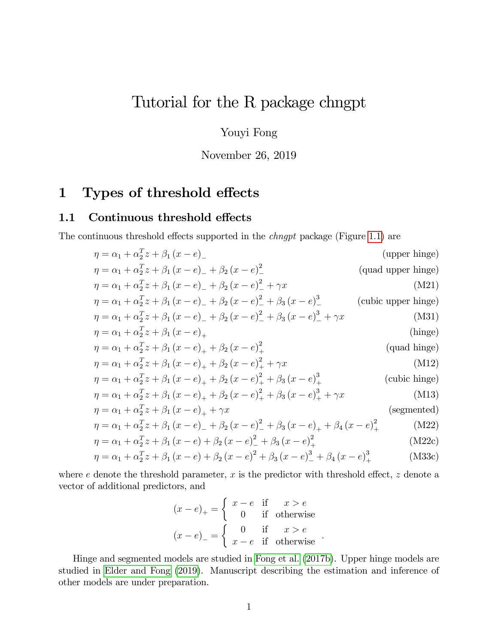# Tutorial for the R package chngpt

Youyi Fong

November 26, 2019

# 1 Types of threshold effects

### 1.1 Continuous threshold effects

The continuous threshold effects supported in the *chngpt* package (Figure [1.1\)](#page-1-0) are

$$
\eta = \alpha_1 + \alpha_2^T z + \beta_1 (x - e)
$$
 (upper hinge)  
\n
$$
\eta = \alpha_1 + \alpha_2^T z + \beta_1 (x - e) - \beta_2 (x - e)^2
$$
 (quad upper hinge)  
\n
$$
\eta = \alpha_1 + \alpha_2^T z + \beta_1 (x - e) - \beta_2 (x - e)^2 + \gamma x
$$
 (M21)  
\n
$$
\eta = \alpha_1 + \alpha_2^T z + \beta_1 (x - e) - \beta_2 (x - e)^2 + \beta_3 (x - e)^3
$$
 (cubic upper hinge)  
\n
$$
\eta = \alpha_1 + \alpha_2^T z + \beta_1 (x - e) - \beta_2 (x - e)^2 + \beta_3 (x - e)^3 + \gamma x
$$
 (M31)  
\n
$$
\eta = \alpha_1 + \alpha_2^T z + \beta_1 (x - e) + \beta_2 (x - e)^2 + \beta_3 (x - e)^3 + \gamma x
$$
 (m32)  
\n
$$
\eta = \alpha_1 + \alpha_2^T z + \beta_1 (x - e) + \beta_2 (x - e)^2 + \gamma x
$$
 (quad hinge)  
\n
$$
\eta = \alpha_1 + \alpha_2^T z + \beta_1 (x - e) + \beta_2 (x - e)^2 + \gamma x
$$
 (M12)  
\n
$$
\eta = \alpha_1 + \alpha_2^T z + \beta_1 (x - e) + \beta_2 (x - e)^2 + \beta_3 (x - e)^3 + \gamma x
$$
 (M13)  
\n
$$
\eta = \alpha_1 + \alpha_2^T z + \beta_1 (x - e) + \beta_2 (x - e)^2 + \beta_3 (x - e)^3 + \gamma x
$$
 (segmented)  
\n
$$
\eta = \alpha_1 + \alpha_2^T z + \beta_1 (x - e) + \beta_2 (x - e)^2 + \beta_3 (x - e) + \beta_4 (x - e)^2 + \gamma x
$$
 (segmented)  
\n
$$
\eta = \alpha_1 + \alpha_2^T z + \beta_1 (x - e) + \beta_2 (x - e)^2 + \beta_3 (x - e) + \beta_4 (x - e)^2 + \gamma x
$$
 (M22)  
\n
$$
\eta = \alpha_1 + \alpha_2^T z +
$$

where 
$$
e
$$
 denote the threshold parameter,  $x$  is the predictor with threshold effect,  $z$  denote a

vector of additional predictors, and

<span id="page-0-0"></span>
$$
(x - e)+ = \begin{cases} x - e & \text{if } x > e \\ 0 & \text{if otherwise} \end{cases}
$$

$$
(x - e)- = \begin{cases} 0 & \text{if } x > e \\ x - e & \text{if otherwise} \end{cases}
$$

Hinge and segmented models are studied in [Fong et al.](#page-12-0) [\(2017b\)](#page-12-0). Upper hinge models are studied in [Elder and Fong](#page-12-1) [\(2019\)](#page-12-1). Manuscript describing the estimation and inference of other models are under preparation.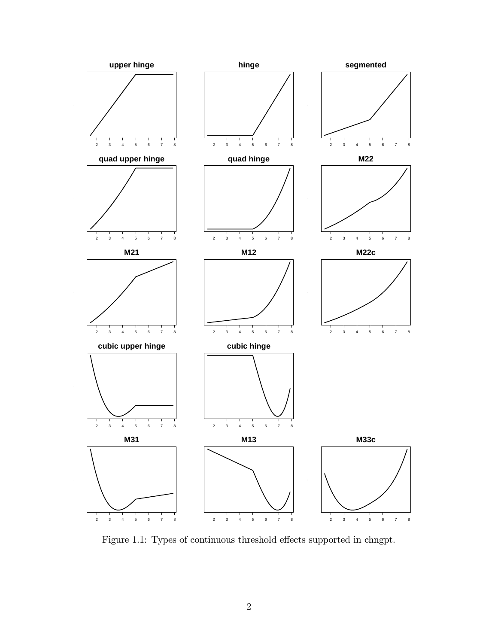<span id="page-1-0"></span>

Figure 1.1: Types of continuous threshold effects supported in chngpt.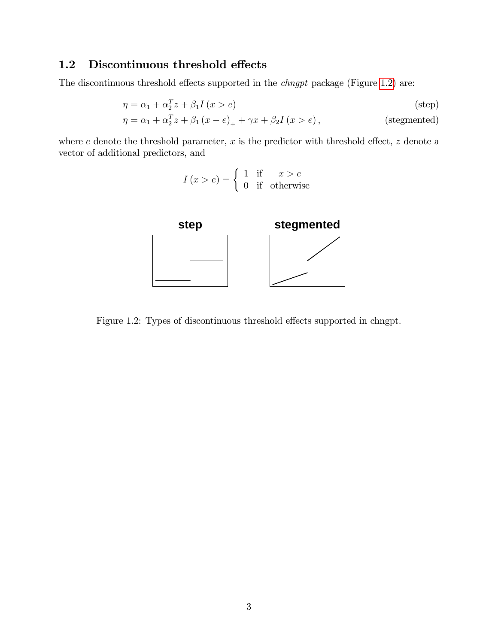# 1.2 Discontinuous threshold effects

The discontinuous threshold effects supported in the *chngpt* package (Figure [1.2\)](#page-2-0) are:

$$
\eta = \alpha_1 + \alpha_2^T z + \beta_1 I(x > e)
$$
 (step)  
\n
$$
\eta = \alpha_1 + \alpha_2^T z + \beta_1 (x - e)_+ + \gamma x + \beta_2 I(x > e),
$$
 (stegmented)

<span id="page-2-0"></span>where  $e$  denote the threshold parameter,  $x$  is the predictor with threshold effect,  $z$  denote a vector of additional predictors, and

$$
I(x > e) = \begin{cases} 1 & \text{if } x > e \\ 0 & \text{if} \quad \text{otherwise} \end{cases}
$$



Figure 1.2: Types of discontinuous threshold effects supported in chngpt.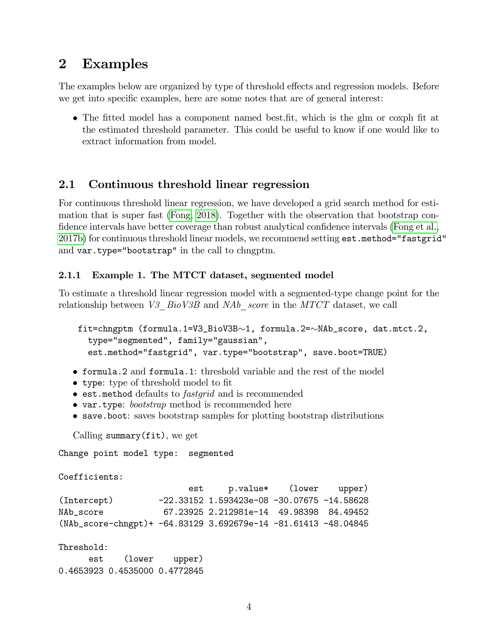# 2 Examples

The examples below are organized by type of threshold effects and regression models. Before we get into specific examples, here are some notes that are of general interest:

• The fitted model has a component named best.fit, which is the glm or coxph fit at the estimated threshold parameter. This could be useful to know if one would like to extract information from model.

## 2.1 Continuous threshold linear regression

For continuous threshold linear regression, we have developed a grid search method for estimation that is super fast [\(Fong, 2018\)](#page-12-2). Together with the observation that bootstrap con-fidence intervals have better coverage than robust analytical confidence intervals [\(Fong et al.,](#page-12-0) [2017b\)](#page-12-0) for continuous threshold linear models, we recommend setting est.method="fastgrid" and var.type="bootstrap" in the call to chngptm.

#### <span id="page-3-0"></span>2.1.1 Example 1. The MTCT dataset, segmented model

To estimate a threshold linear regression model with a segmented-type change point for the relationship between V3  $BioV3B$  and  $NAb$  score in the MTCT dataset, we call

```
fit=chngptm (formula.1=V3_BioV3B\sim1, formula.2=\simNAb_score, dat.mtct.2,
  type="segmented", family="gaussian",
  est.method="fastgrid", var.type="bootstrap", save.boot=TRUE)
```
- formula.2 and formula.1: threshold variable and the rest of the model
- type: type of threshold model to fit
- $\bullet$  est.method defaults to *fastgrid* and is recommended
- var.type: *bootstrap* method is recommended here
- save.boot: saves bootstrap samples for plotting bootstrap distributions

```
Calling summary(fit), we get
```
Change point model type: segmented

```
Coefficients:
```

|                                                                   | est | p.value* (lower upper)                       |  |
|-------------------------------------------------------------------|-----|----------------------------------------------|--|
| (Intercept)                                                       |     | $-22.33152$ 1.593423e-08 -30.07675 -14.58628 |  |
| NAb score                                                         |     | 67.23925 2.212981e-14 49.98398 84.49452      |  |
| $(NAb_score-chngpt)$ + -64.83129 3.692679e-14 -81.61413 -48.04845 |     |                                              |  |

Threshold:

est (lower upper) 0.4653923 0.4535000 0.4772845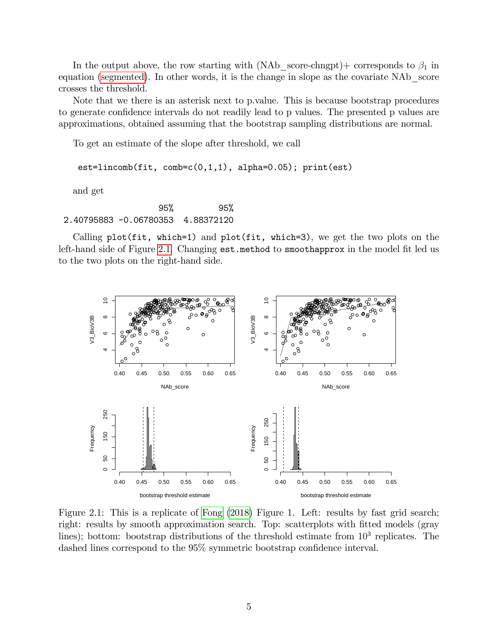In the output above, the row starting with (NAb score-chngpt) + corresponds to  $\beta_1$  in equation [\(segmented\)](#page-0-0). In other words, it is the change in slope as the covariate NAb\_score crosses the threshold.

Note that we there is an asterisk next to p.value. This is because bootstrap procedures to generate confidence intervals do not readily lead to p values. The presented p values are approximations, obtained assuming that the bootstrap sampling distributions are normal.

To get an estimate of the slope after threshold, we call

est=lincomb(fit, comb=c(0,1,1), alpha=0.05); print(est)

and get

95% 95% 2.40795883 -0.06780353 4.88372120

Calling  $plot(fit, which=1)$  and  $plot(fit, which=3)$ , we get the two plots on the left-hand side of Figure [2.1.](#page-4-0) Changing  $est$  method to smoothapprox in the model fit led us to the two plots on the right-hand side.

<span id="page-4-0"></span>

Figure 2.1: This is a replicate of [Fong](#page-12-2) [\(2018\)](#page-12-2) Figure 1. Left: results by fast grid search; right: results by smooth approximation search. Top: scatterplots with fitted models (gray lines); bottom: bootstrap distributions of the threshold estimate from  $10^3$  replicates. The dashed lines correspond to the  $95\%$  symmetric bootstrap confidence interval.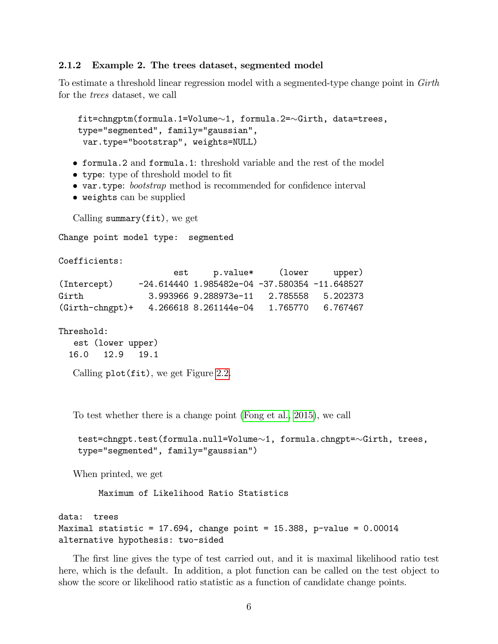#### 2.1.2 Example 2. The trees dataset, segmented model

To estimate a threshold linear regression model with a segmented-type change point in Girth for the trees dataset, we call

```
fit = chngptm(formula.1=Volume\sim1, formula.2=\simGirth, data=trees,
type="segmented", family="gaussian",
 var.type="bootstrap", weights=NULL)
```
- formula.2 and formula.1: threshold variable and the rest of the model
- type: type of threshold model to fit
- var.type: *bootstrap* method is recommended for confidence interval
- weights can be supplied

```
Calling summary(fit), we get
```
Change point model type: segmented

```
Coefficients:
```

|                    | est |                                                     | p.value* (lower upper) |                   |
|--------------------|-----|-----------------------------------------------------|------------------------|-------------------|
| (Intercept)        |     | $-24.614440$ 1.985482e-04 $-37.580354$ $-11.648527$ |                        |                   |
| Girth              |     | 3.993966 9.288973e-11                               |                        | 2.785558 5.202373 |
| $(Girth-chngpt) +$ |     | 4.266618 8.261144e-04                               | 1.765770               | 6.767467          |

```
Threshold:
```
est (lower upper) 16.0 12.9 19.1

Calling plot(fit), we get Figure [2.2.](#page-6-0)

To test whether there is a change point [\(Fong et al., 2015\)](#page-12-3), we call

```
test=chngpt.test(formula.null=Volume\sim1, formula.chngpt=\simGirth, trees,
type="segmented", family="gaussian")
```
When printed, we get

Maximum of Likelihood Ratio Statistics

```
data: trees
Maximal statistic = 17.694, change point = 15.388, p-value = 0.00014alternative hypothesis: two-sided
```
The first line gives the type of test carried out, and it is maximal likelihood ratio test here, which is the default. In addition, a plot function can be called on the test object to show the score or likelihood ratio statistic as a function of candidate change points.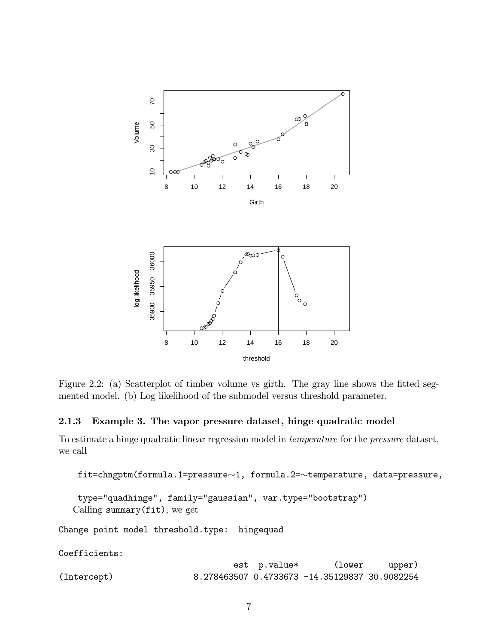<span id="page-6-0"></span>

Figure 2.2: (a) Scatterplot of timber volume vs girth. The gray line shows the fitted segmented model. (b) Log likelihood of the submodel versus threshold parameter.

#### 2.1.3 Example 3. The vapor pressure dataset, hinge quadratic model

To estimate a hinge quadratic linear regression model in temperature for the pressure dataset, we call

```
fit=chngptm(formula.1=pressure~1, formula.2=~temperature, data=pressure,
```

```
type="quadhinge", family="gaussian", var.type="bootstrap")
Calling summary(fit), we get
```
Change point model threshold.type: hingequad

Coefficients:

|             | est p.value* | (lower                                              | upper) |
|-------------|--------------|-----------------------------------------------------|--------|
| (Intercept) |              | 8.278463507   0.4733673   -14.35129837   30.9082254 |        |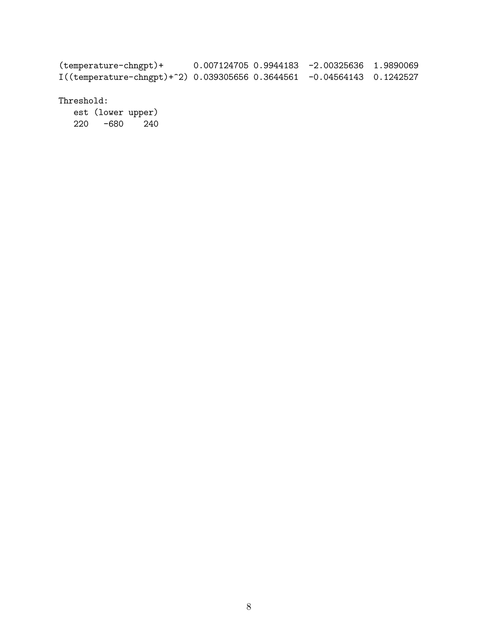(temperature-chngpt)+ 0.007124705 0.9944183 -2.00325636 1.9890069 I((temperature-chngpt)+^2) 0.039305656 0.3644561 -0.04564143 0.1242527

Threshold:

est (lower upper) 220 -680 240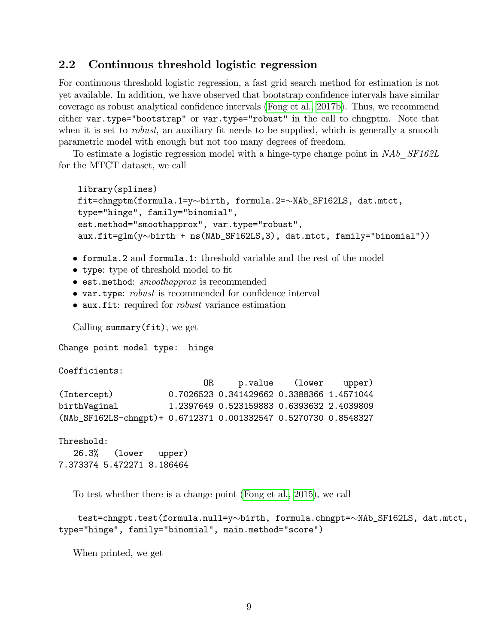#### 2.2 Continuous threshold logistic regression

For continuous threshold logistic regression, a fast grid search method for estimation is not yet available. In addition, we have observed that bootstrap confidence intervals have similar coverage as robust analytical confidence intervals [\(Fong et al., 2017b\)](#page-12-0). Thus, we recommend either var.type="bootstrap" or var.type="robust" in the call to chngptm. Note that when it is set to *robust*, an auxiliary fit needs to be supplied, which is generally a smooth parametric model with enough but not too many degrees of freedom.

To estimate a logistic regression model with a hinge-type change point in NAb SF162L for the MTCT dataset, we call

```
library(splines)
fit=chngptm(formula.1=y~birth, formula.2=~NAb_SF162LS, dat.mtct,
type="hinge", family="binomial",
est.method="smoothapprox", var.type="robust",
aux.fit=glm(y\simbirth + ns(NAb_SF162LS,3), dat.mtct, family="binomial"))
```
- formula.2 and formula.1: threshold variable and the rest of the model
- type: type of threshold model to fit
- **est.method:** smoothapprox is recommended
- var.type: *robust* is recommended for confidence interval
- $\bullet$  aux.fit: required for *robust* variance estimation

Calling summary(fit), we get

Change point model type: hinge

Coefficients:

```
OR p.value (lower upper)
(Intercept) 0.7026523 0.341429662 0.3388366 1.4571044
birthVaginal 1.2397649 0.523159883 0.6393632 2.4039809
(NAb_SF162LS-chngpt)+ 0.6712371 0.001332547 0.5270730 0.8548327
```
Threshold: 26.3% (lower upper) 7.373374 5.472271 8.186464

To test whether there is a change point [\(Fong et al., 2015\)](#page-12-3), we call

```
test=chngpt.test(formula.null=y~birth, formula.chngpt=~NAb_SF162LS, dat.mtct,
type="hinge", family="binomial", main.method="score")
```
When printed, we get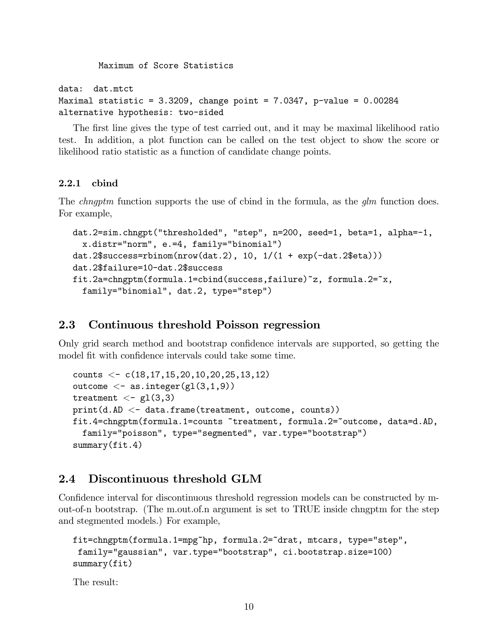Maximum of Score Statistics

data: dat.mtct

```
Maximal statistic = 3.3209, change point = 7.0347, p-value = 0.00284alternative hypothesis: two-sided
```
The first line gives the type of test carried out, and it may be maximal likelihood ratio test. In addition, a plot function can be called on the test object to show the score or likelihood ratio statistic as a function of candidate change points.

#### 2.2.1 cbind

The *chngptm* function supports the use of cbind in the formula, as the *qlm* function does. For example,

```
dat.2=sim.chngpt("thresholded", "step", n=200, seed=1, beta=1, alpha=-1,
 x.distr="norm", e.=4, family="binomial")
dat.2$success=rbinom(nrow(dat.2), 10, 1/(1 + exp(-dat.2$eta)))
dat.2$failure=10-dat.2$success
fit.2a=chngptm(formula.1=cbind(success,failure)~z, formula.2=~x,
 family="binomial", dat.2, type="step")
```
### 2.3 Continuous threshold Poisson regression

Only grid search method and bootstrap confidence intervals are supported, so getting the model fit with confidence intervals could take some time.

```
counts \langle -c(18,17,15,20,10,20,25,13,12)outcome \langle - as.integer(gl(3,1,9))
treatment <- gl(3,3)
print(d.AD < -data-frame(treatment, outcome, counts))fit.4=chngptm(formula.1=counts ~treatment, formula.2=~outcome, data=d.AD,
  family="poisson", type="segmented", var.type="bootstrap")
summary(fit.4)
```
### 2.4 Discontinuous threshold GLM

Confidence interval for discontinuous threshold regression models can be constructed by mout-of-n bootstrap. (The m.out.of.n argument is set to TRUE inside chngptm for the step and stegmented models.) For example,

```
fit=chngptm(formula.1=mpg~hp, formula.2=~drat, mtcars, type="step",
family="gaussian", var.type="bootstrap", ci.bootstrap.size=100)
summary(fit)
```
The result: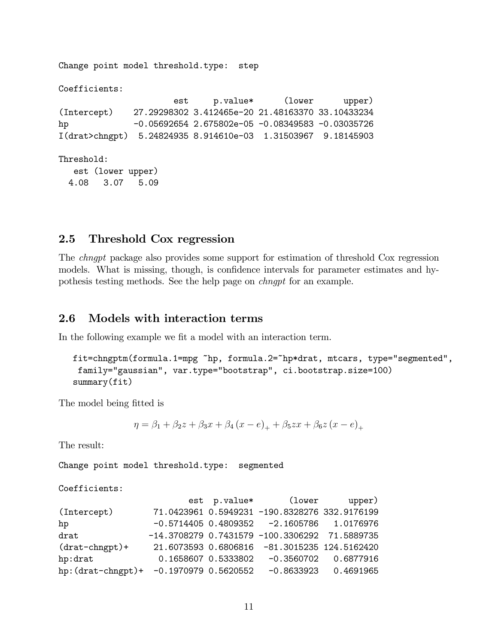Change point model threshold.type: step Coefficients: est p.value\* (lower upper) (Intercept) 27.29298302 3.412465e-20 21.48163370 33.10433234 hp -0.05692654 2.675802e-05 -0.08349583 -0.03035726 I(drat>chngpt) 5.24824935 8.914610e-03 1.31503967 9.18145903 Threshold: est (lower upper) 4.08 3.07 5.09

#### 2.5 Threshold Cox regression

The chngpt package also provides some support for estimation of threshold Cox regression models. What is missing, though, is confidence intervals for parameter estimates and hypothesis testing methods. See the help page on chngpt for an example.

#### 2.6 Models with interaction terms

In the following example we fit a model with an interaction term.

```
fit=chngptm(formula.1=mpg ~hp, formula.2=~hp*drat, mtcars, type="segmented",
family="gaussian", var.type="bootstrap", ci.bootstrap.size=100)
summary(fit)
```
The model being fitted is

$$
\eta = \beta_1 + \beta_2 z + \beta_3 x + \beta_4 (x - e)_+ + \beta_5 z x + \beta_6 z (x - e)_+
$$

The result:

Change point model threshold.type: segmented

Coefficients:

|                                         |  | est p.value* (lower                               | upper)                 |
|-----------------------------------------|--|---------------------------------------------------|------------------------|
| (Intercept)                             |  | 71.0423961 0.5949231 -190.8328276 332.9176199     |                        |
| hp                                      |  | $-0.5714405 0.4809352 -2.1605786 1.0176976$       |                        |
| drat                                    |  | $-14.3708279$ 0.7431579 $-100.3306292$ 71.5889735 |                        |
| $(drat-chngt)$ +                        |  | 21.6073593 0.6806816 -81.3015235 124.5162420      |                        |
| hp:drat                                 |  | $0.1658607$ $0.5333802$ -0.3560702 0.6877916      |                        |
| hp: (drat-chngpt)+ -0.1970979 0.5620552 |  |                                                   | $-0.8633923$ 0.4691965 |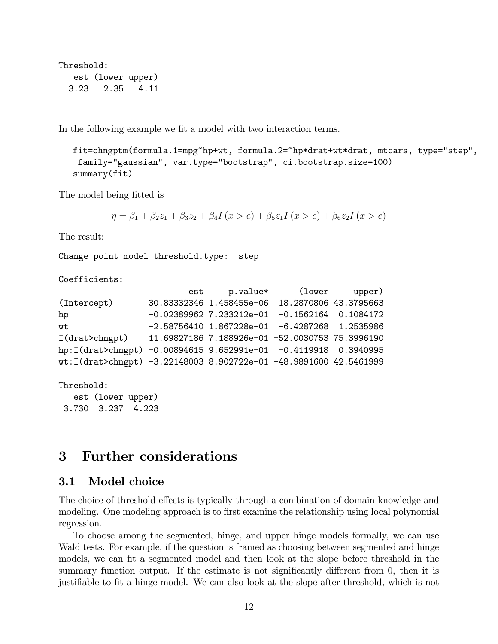Threshold: est (lower upper) 3.23 2.35 4.11

In the following example we fit a model with two interaction terms.

```
fit=chngptm(formula.1=mpg~hp+wt, formula.2=~hp*drat+wt*drat, mtcars, type="step",
family="gaussian", var.type="bootstrap", ci.bootstrap.size=100)
summary(fit)
```
The model being fitted is

```
\eta = \beta_1 + \beta_2 z_1 + \beta_3 z_2 + \beta_4 I(x > e) + \beta_5 z_1 I(x > e) + \beta_6 z_2 I(x > e)
```
The result:

Change point model threshold.type: step

Coefficients:

```
est p.value* (lower upper)
(Intercept) 30.83332346 1.458455e-06 18.2870806 43.3795663
hp -0.02389962 7.233212e-01 -0.1562164 0.1084172
wt -2.58756410 1.867228e-01 -6.4287268 1.2535986
I(drat>chngpt) 11.69827186 7.188926e-01 -52.0030753 75.3996190
hp:I(drat>chngpt) -0.00894615 9.652991e-01 -0.4119918 0.3940995
wt:I(drat>chngpt) -3.22148003 8.902722e-01 -48.9891600 42.5461999
```
Threshold:

est (lower upper) 3.730 3.237 4.223

## 3 Further considerations

#### 3.1 Model choice

The choice of threshold effects is typically through a combination of domain knowledge and modeling. One modeling approach is to first examine the relationship using local polynomial regression.

To choose among the segmented, hinge, and upper hinge models formally, we can use Wald tests. For example, if the question is framed as choosing between segmented and hinge models, we can fit a segmented model and then look at the slope before threshold in the summary function output. If the estimate is not significantly different from 0, then it is justifiable to fit a hinge model. We can also look at the slope after threshold, which is not